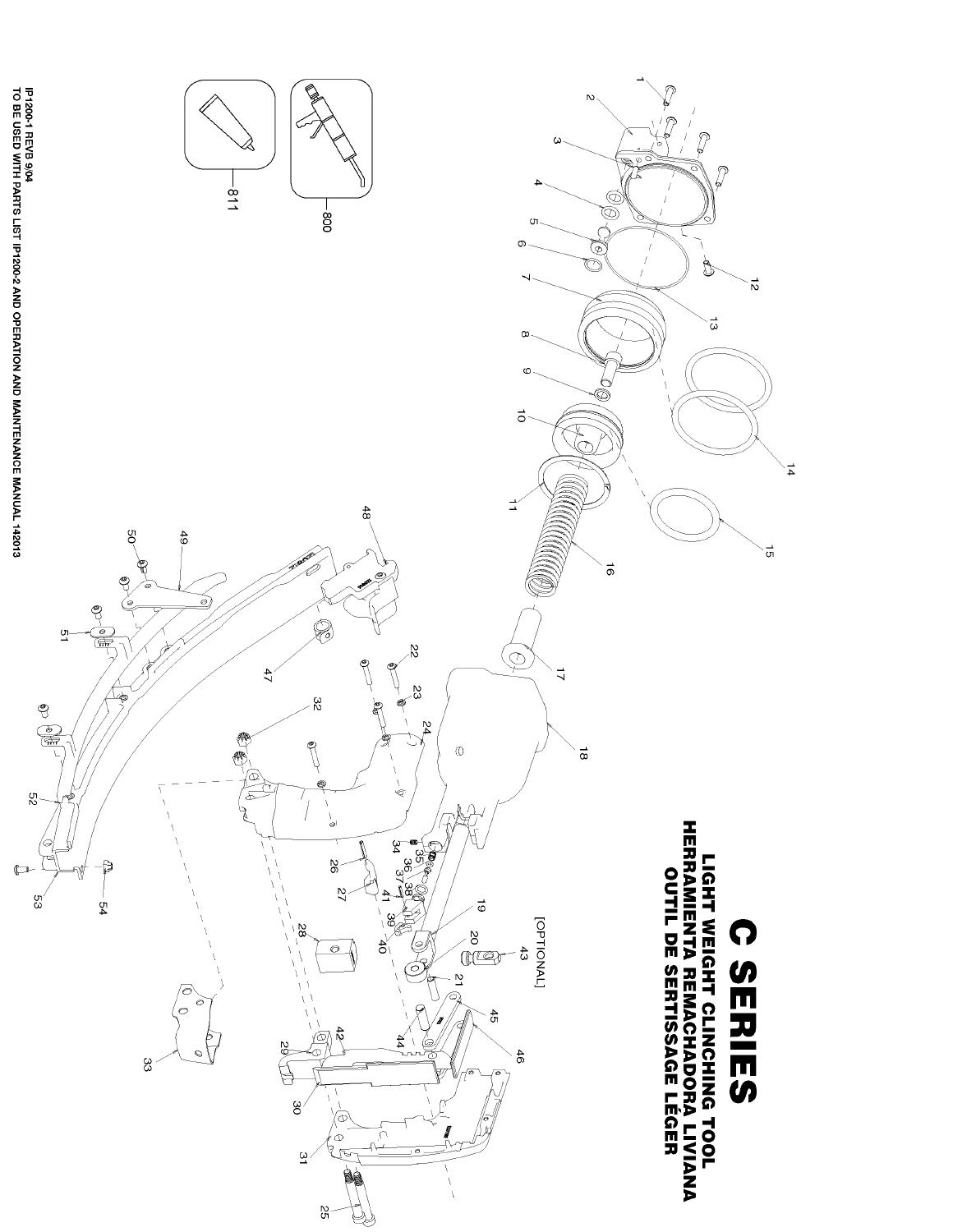

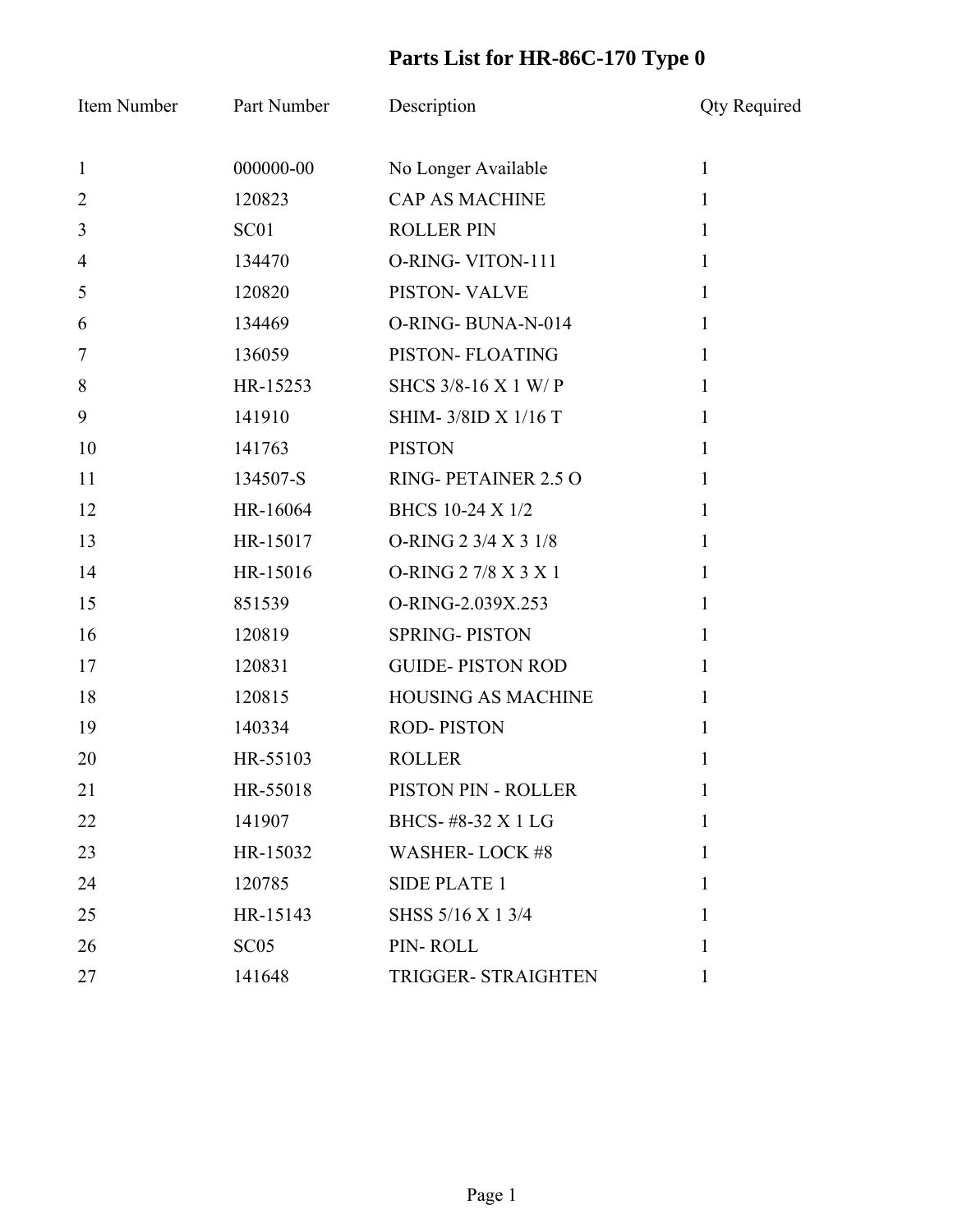## **Parts List for HR-86C-170 Type 0**

| Item Number    | Part Number      | Description                | <b>Qty Required</b> |
|----------------|------------------|----------------------------|---------------------|
| $\mathbf{1}$   | 000000-00        | No Longer Available        | $\mathbf{1}$        |
| $\overline{2}$ | 120823           | <b>CAP AS MACHINE</b>      | $\mathbf{1}$        |
| $\mathfrak{Z}$ | SC <sub>01</sub> | <b>ROLLER PIN</b>          | $\mathbf{1}$        |
| $\overline{4}$ | 134470           | O-RING-VITON-111           | $\mathbf{1}$        |
| 5              | 120820           | PISTON-VALVE               | 1                   |
| 6              | 134469           | O-RING-BUNA-N-014          | $\mathbf{1}$        |
| 7              | 136059           | PISTON- FLOATING           | $\mathbf{1}$        |
| 8              | HR-15253         | SHCS 3/8-16 X 1 W/P        | 1                   |
| 9              | 141910           | SHIM-3/8ID X 1/16 T        | $\mathbf{1}$        |
| 10             | 141763           | <b>PISTON</b>              | $\mathbf{1}$        |
| 11             | 134507-S         | RING-PETAINER 2.5 O        | 1                   |
| 12             | HR-16064         | BHCS 10-24 X 1/2           | $\mathbf{1}$        |
| 13             | HR-15017         | O-RING 2 3/4 X 3 1/8       | $\mathbf{1}$        |
| 14             | HR-15016         | O-RING 2 7/8 X 3 X 1       | 1                   |
| 15             | 851539           | O-RING-2.039X.253          | $\mathbf{1}$        |
| 16             | 120819           | <b>SPRING-PISTON</b>       | $\mathbf{1}$        |
| 17             | 120831           | <b>GUIDE-PISTON ROD</b>    | 1                   |
| 18             | 120815           | <b>HOUSING AS MACHINE</b>  | $\mathbf{1}$        |
| 19             | 140334           | <b>ROD-PISTON</b>          | $\mathbf{1}$        |
| 20             | HR-55103         | <b>ROLLER</b>              | 1                   |
| 21             | HR-55018         | PISTON PIN - ROLLER        | $\bf{l}$            |
| 22             | 141907           | BHCS-#8-32 X 1 LG          | $\mathbf{1}$        |
| 23             | HR-15032         | <b>WASHER-LOCK #8</b>      | 1                   |
| 24             | 120785           | <b>SIDE PLATE 1</b>        | $\mathbf{1}$        |
| 25             | HR-15143         | SHSS 5/16 X 1 3/4          | $\mathbf{1}$        |
| 26             | SC05             | PIN-ROLL                   | 1                   |
| 27             | 141648           | <b>TRIGGER- STRAIGHTEN</b> | $\mathbf{1}$        |